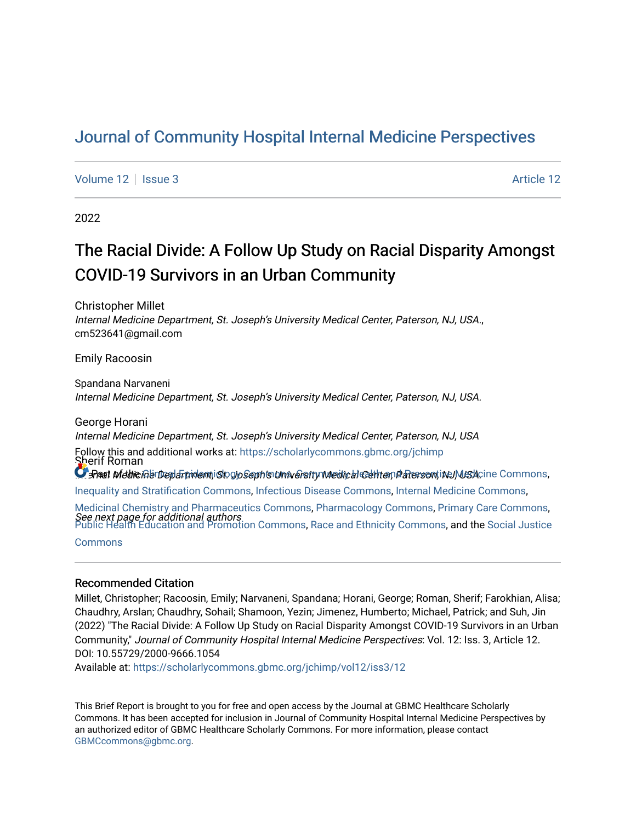# [Journal of Community Hospital Internal Medicine Perspectives](https://scholarlycommons.gbmc.org/jchimp)

[Volume 12](https://scholarlycommons.gbmc.org/jchimp/vol12) | [Issue 3](https://scholarlycommons.gbmc.org/jchimp/vol12/iss3) Article 12

2022

# The Racial Divide: A Follow Up Study on Racial Disparity Amongst COVID-19 Survivors in an Urban Community

Christopher Millet Internal Medicine Department, St. Joseph's University Medical Center, Paterson, NJ, USA., cm523641@gmail.com

Emily Racoosin

Spandana Narvaneni Internal Medicine Department, St. Joseph's University Medical Center, Paterson, NJ, USA.

George Horani Internal Medicine Department, St. Joseph's University Medical Center, Paterson, NJ, USA Sherif Roman  $\Omega$ ePaat Nieldie Gbroep $d$ Fridemiology Skophen University Medical Center, Paterson, Inc. Meskcine Commons, Follow this and additional works at: [https://scholarlycommons.gbmc.org/jchimp](https://scholarlycommons.gbmc.org/jchimp?utm_source=scholarlycommons.gbmc.org%2Fjchimp%2Fvol12%2Fiss3%2F12&utm_medium=PDF&utm_campaign=PDFCoverPages) [Inequality and Stratification Commons,](http://network.bepress.com/hgg/discipline/421?utm_source=scholarlycommons.gbmc.org%2Fjchimp%2Fvol12%2Fiss3%2F12&utm_medium=PDF&utm_campaign=PDFCoverPages) [Infectious Disease Commons,](http://network.bepress.com/hgg/discipline/689?utm_source=scholarlycommons.gbmc.org%2Fjchimp%2Fvol12%2Fiss3%2F12&utm_medium=PDF&utm_campaign=PDFCoverPages) [Internal Medicine Commons](http://network.bepress.com/hgg/discipline/1356?utm_source=scholarlycommons.gbmc.org%2Fjchimp%2Fvol12%2Fiss3%2F12&utm_medium=PDF&utm_campaign=PDFCoverPages), [Medicinal Chemistry and Pharmaceutics Commons,](http://network.bepress.com/hgg/discipline/65?utm_source=scholarlycommons.gbmc.org%2Fjchimp%2Fvol12%2Fiss3%2F12&utm_medium=PDF&utm_campaign=PDFCoverPages) [Pharmacology Commons](http://network.bepress.com/hgg/discipline/66?utm_source=scholarlycommons.gbmc.org%2Fjchimp%2Fvol12%2Fiss3%2F12&utm_medium=PDF&utm_campaign=PDFCoverPages), [Primary Care Commons,](http://network.bepress.com/hgg/discipline/1092?utm_source=scholarlycommons.gbmc.org%2Fjchimp%2Fvol12%2Fiss3%2F12&utm_medium=PDF&utm_campaign=PDFCoverPages)

See next page for additional authors [Public Health Education and Promotion Commons,](http://network.bepress.com/hgg/discipline/743?utm_source=scholarlycommons.gbmc.org%2Fjchimp%2Fvol12%2Fiss3%2F12&utm_medium=PDF&utm_campaign=PDFCoverPages) [Race and Ethnicity Commons](http://network.bepress.com/hgg/discipline/426?utm_source=scholarlycommons.gbmc.org%2Fjchimp%2Fvol12%2Fiss3%2F12&utm_medium=PDF&utm_campaign=PDFCoverPages), and the [Social Justice](http://network.bepress.com/hgg/discipline/1432?utm_source=scholarlycommons.gbmc.org%2Fjchimp%2Fvol12%2Fiss3%2F12&utm_medium=PDF&utm_campaign=PDFCoverPages) 

[Commons](http://network.bepress.com/hgg/discipline/1432?utm_source=scholarlycommons.gbmc.org%2Fjchimp%2Fvol12%2Fiss3%2F12&utm_medium=PDF&utm_campaign=PDFCoverPages)

### Recommended Citation

Millet, Christopher; Racoosin, Emily; Narvaneni, Spandana; Horani, George; Roman, Sherif; Farokhian, Alisa; Chaudhry, Arslan; Chaudhry, Sohail; Shamoon, Yezin; Jimenez, Humberto; Michael, Patrick; and Suh, Jin (2022) "The Racial Divide: A Follow Up Study on Racial Disparity Amongst COVID-19 Survivors in an Urban Community," Journal of Community Hospital Internal Medicine Perspectives: Vol. 12: Iss. 3, Article 12. DOI: 10.55729/2000-9666.1054

Available at: [https://scholarlycommons.gbmc.org/jchimp/vol12/iss3/12](https://scholarlycommons.gbmc.org/jchimp/vol12/iss3/12?utm_source=scholarlycommons.gbmc.org%2Fjchimp%2Fvol12%2Fiss3%2F12&utm_medium=PDF&utm_campaign=PDFCoverPages) 

This Brief Report is brought to you for free and open access by the Journal at GBMC Healthcare Scholarly Commons. It has been accepted for inclusion in Journal of Community Hospital Internal Medicine Perspectives by an authorized editor of GBMC Healthcare Scholarly Commons. For more information, please contact [GBMCcommons@gbmc.org](mailto:GBMCcommons@gbmc.org).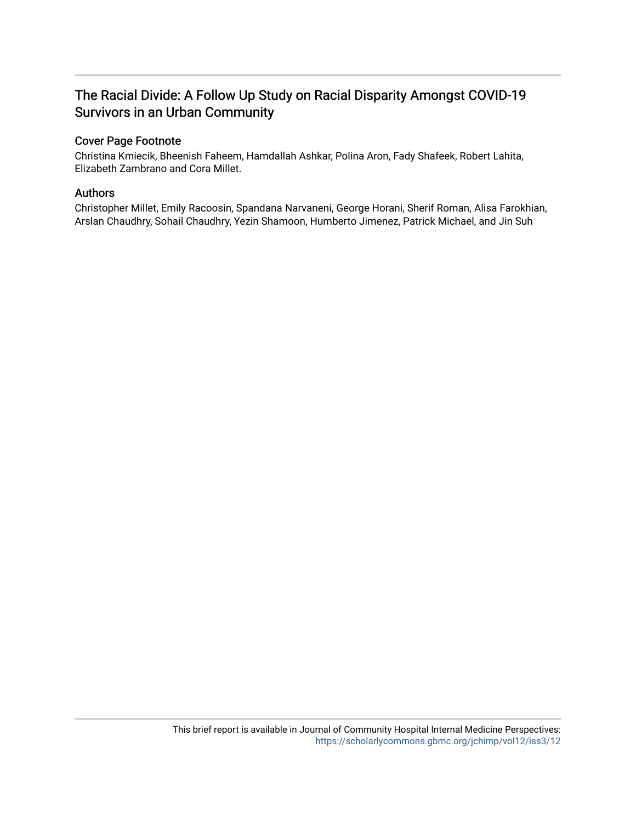# The Racial Divide: A Follow Up Study on Racial Disparity Amongst COVID-19 Survivors in an Urban Community

# Cover Page Footnote

Christina Kmiecik, Bheenish Faheem, Hamdallah Ashkar, Polina Aron, Fady Shafeek, Robert Lahita, Elizabeth Zambrano and Cora Millet.

## Authors

Christopher Millet, Emily Racoosin, Spandana Narvaneni, George Horani, Sherif Roman, Alisa Farokhian, Arslan Chaudhry, Sohail Chaudhry, Yezin Shamoon, Humberto Jimenez, Patrick Michael, and Jin Suh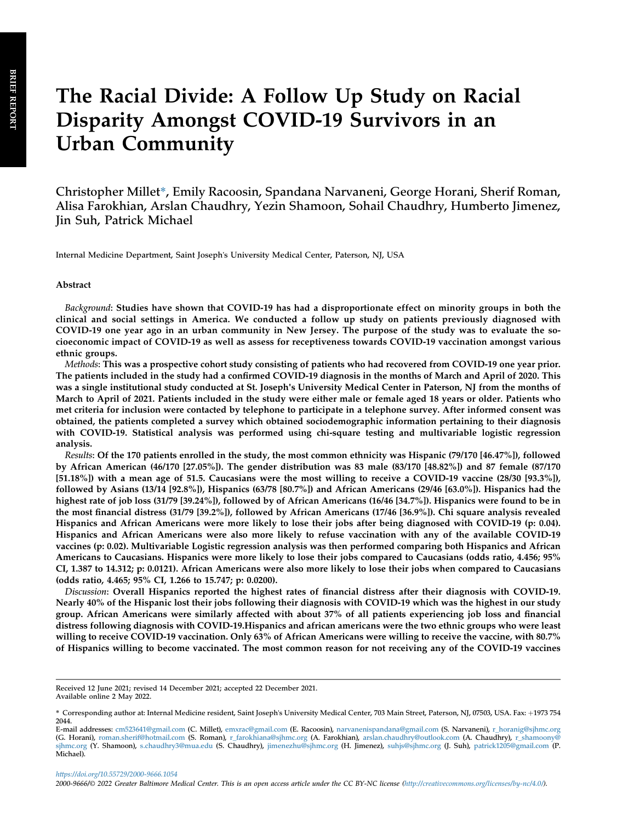# The Racial Divide: A Follow Up Study on Racial Disparity Amongst COVID-19 Survivors in an Urban Community

Christopher Millet\*, Emily Racoosin, Spandana Narvaneni, George Horani, Sherif Roman, Alisa Farokhian, Arslan Chaudhry, Yezin Shamoon, Sohail Chaudhry, Humberto Jimenez, Jin Suh, Patrick Michael

Internal Medicine Department, Saint Joseph's University Medical Center, Paterson, NJ, USA

#### Abstract

Background: Studies have shown that COVID-19 has had a disproportionate effect on minority groups in both the clinical and social settings in America. We conducted a follow up study on patients previously diagnosed with COVID-19 one year ago in an urban community in New Jersey. The purpose of the study was to evaluate the socioeconomic impact of COVID-19 as well as assess for receptiveness towards COVID-19 vaccination amongst various ethnic groups.

Methods: This was a prospective cohort study consisting of patients who had recovered from COVID-19 one year prior. The patients included in the study had a confirmed COVID-19 diagnosis in the months of March and April of 2020. This was a single institutional study conducted at St. Joseph's University Medical Center in Paterson, NJ from the months of March to April of 2021. Patients included in the study were either male or female aged 18 years or older. Patients who met criteria for inclusion were contacted by telephone to participate in a telephone survey. After informed consent was obtained, the patients completed a survey which obtained sociodemographic information pertaining to their diagnosis with COVID-19. Statistical analysis was performed using chi-square testing and multivariable logistic regression analysis.

Results: Of the 170 patients enrolled in the study, the most common ethnicity was Hispanic (79/170 [46.47%]), followed by African American (46/170 [27.05%]). The gender distribution was 83 male (83/170 [48.82%]) and 87 female (87/170 [51.18%]) with a mean age of 51.5. Caucasians were the most willing to receive a COVID-19 vaccine (28/30 [93.3%]), followed by Asians (13/14 [92.8%]), Hispanics (63/78 [80.7%]) and African Americans (29/46 [63.0%]). Hispanics had the highest rate of job loss (31/79 [39.24%]), followed by of African Americans (16/46 [34.7%]). Hispanics were found to be in the most financial distress (31/79 [39.2%]), followed by African Americans (17/46 [36.9%]). Chi square analysis revealed Hispanics and African Americans were more likely to lose their jobs after being diagnosed with COVID-19 (p: 0.04). Hispanics and African Americans were also more likely to refuse vaccination with any of the available COVID-19 vaccines (p: 0.02). Multivariable Logistic regression analysis was then performed comparing both Hispanics and African Americans to Caucasians. Hispanics were more likely to lose their jobs compared to Caucasians (odds ratio, 4.456; 95% CI, 1.387 to 14.312; p: 0.0121). African Americans were also more likely to lose their jobs when compared to Caucasians (odds ratio, 4.465; 95% CI, 1.266 to 15.747; p: 0.0200).

Discussion: Overall Hispanics reported the highest rates of financial distress after their diagnosis with COVID-19. Nearly 40% of the Hispanic lost their jobs following their diagnosis with COVID-19 which was the highest in our study group. African Americans were similarly affected with about 37% of all patients experiencing job loss and financial distress following diagnosis with COVID-19.Hispanics and african americans were the two ethnic groups who were least willing to receive COVID-19 vaccination. Only 63% of African Americans were willing to receive the vaccine, with 80.7% of Hispanics willing to become vaccinated. The most common reason for not receiving any of the COVID-19 vaccines

Received 12 June 2021; revised 14 December 2021; accepted 22 December 2021. Available online 2 May 2022.

<sup>\*</sup> Corresponding author at: Internal Medicine resident, Saint Joseph's University Medical Center, 703 Main Street, Paterson, NJ, 07503, USA. Fax: +1973 754 2044.

E-mail addresses: [cm523641@gmail.com](mailto:cm523641@gmail.com&/elink; (&givntag;Christopher&/givntag; Millet), &elink;emxrac@gmail.com&/elink; (&givntag;Emily&/givntag; Racoosin), &elink;narvanenispandana@gmail.com&/elink; (&givntag;Spandana&/givntag; Narvaneni), &elink;r_horanig@sjhmc.org&/elink; (&givntag;George&/givntag; Horani), &elink;roman.sherif@hotmail.com&/elink; (&givntag;Sherif&/givntag; Roman), &elink;r_farokhiana@sjhmc.org&/elink; (&givntag;Alisa&/givntag; Farokhian), &elink;arslan.chaudhry@outlook.com&/elink; (&givntag;Arslan&/givntag; Chaudhry), &elink;r_shamoony@sjhmc.org&/elink; (&givntag;Yezin&/givntag; Shamoon), &elink;s.chaudhry3@mua.edu&/elink; (&givntag;Sohail&/givntag; Chaudhry), &elink;jimenezhu@sjhmc.org&/elink; (&givntag;Humberto&/givntag; Jimenez), &elink;suhjs@sjhmc.org&/elink; (&givntag;Jin&/givntag; Suh), &elink;patrick1205@gmail.com&/elink; (&givntag;Patrick&/givntag; Michael)) (C. Millet), [emxrac@gmail.com](mailto:emxrac@gmail.com&/elink; (&givntag;Emily&/givntag; Racoosin), &elink;narvanenispandana@gmail.com&/elink; (&givntag;Spandana&/givntag; Narvaneni), &elink;r_horanig@sjhmc.org&/elink; (&givntag;George&/givntag; Horani), &elink;roman.sherif@hotmail.com&/elink; (&givntag;Sherif&/givntag; Roman), &elink;r_farokhiana@sjhmc.org&/elink; (&givntag;Alisa&/givntag; Farokhian), &elink;arslan.chaudhry@outlook.com&/elink; (&givntag;Arslan&/givntag; Chaudhry), &elink;r_shamoony@sjhmc.org&/elink; (&givntag;Yezin&/givntag; Shamoon), &elink;s.chaudhry3@mua.edu&/elink; (&givntag;Sohail&/givntag; Chaudhry), &elink;jimenezhu@sjhmc.org&/elink; (&givntag;Humberto&/givntag; Jimenez), &elink;suhjs@sjhmc.org&/elink; (&givntag;Jin&/givntag; Suh), &elink;patrick1205@gmail.com&/elink; (&givntag;Patrick&/givntag; Michael)) (E. Racoosin), [narvanenispandana@gmail.com](mailto:narvanenispandana@gmail.com&/elink; (&givntag;Spandana&/givntag; Narvaneni), &elink;r_horanig@sjhmc.org&/elink; (&givntag;George&/givntag; Horani), &elink;roman.sherif@hotmail.com&/elink; (&givntag;Sherif&/givntag; Roman), &elink;r_farokhiana@sjhmc.org&/elink; (&givntag;Alisa&/givntag; Farokhian), &elink;arslan.chaudhry@outlook.com&/elink; (&givntag;Arslan&/givntag; Chaudhry), &elink;r_shamoony@sjhmc.org&/elink; (&givntag;Yezin&/givntag; Shamoon), &elink;s.chaudhry3@mua.edu&/elink; (&givntag;Sohail&/givntag; Chaudhry), &elink;jimenezhu@sjhmc.org&/elink; (&givntag;Humberto&/givntag; Jimenez), &elink;suhjs@sjhmc.org&/elink; (&givntag;Jin&/givntag; Suh), &elink;patrick1205@gmail.com&/elink; (&givntag;Patrick&/givntag; Michael)) (S. Narvaneni), [r\\_horanig@sjhmc.org](mailto:r_horanig@sjhmc.org&/elink; (&givntag;George&/givntag; Horani), &elink;roman.sherif@hotmail.com&/elink; (&givntag;Sherif&/givntag; Roman), &elink;r_farokhiana@sjhmc.org&/elink; (&givntag;Alisa&/givntag; Farokhian), &elink;arslan.chaudhry@outlook.com&/elink; (&givntag;Arslan&/givntag; Chaudhry), &elink;r_shamoony@sjhmc.org&/elink; (&givntag;Yezin&/givntag; Shamoon), &elink;s.chaudhry3@mua.edu&/elink; (&givntag;Sohail&/givntag; Chaudhry), &elink;jimenezhu@sjhmc.org&/elink; (&givntag;Humberto&/givntag; Jimenez), &elink;suhjs@sjhmc.org&/elink; (&givntag;Jin&/givntag; Suh), &elink;patrick1205@gmail.com&/elink; (&givntag;Patrick&/givntag; Michael))<br>(G. Horani), [roman.sherif@hotmail.com](mailto:roman.sherif@hotmail.com&/elink; (&givntag;Sherif&/givntag; Roman), &elink;r_farokhiana@sjhmc.org&/elink; (&givntag;Alisa&/givntag; Farokhian), &elink;arslan.chaudhry@outlook.com&/elink; (&givntag;Arslan&/givntag; Chaudhry), &elink;r_shamoony@sjhmc.org&/elink; (&givntag;Yezin&/givntag; Shamoon), &elink;s.chaudhry3@mua.edu&/elink; (&givntag;Sohail&/givntag; Chaudhry), &elink;jimenezhu@sjhmc.org&/elink; (&givntag;Humberto&/givntag; Jimenez), &elink;suhjs@sjhmc.org&/elink; (&givntag;Jin&/givntag; Suh), &elink;patrick1205@gmail.com&/elink; (&givntag;Patrick&/givntag; Michael)) (S. Roman), [r\\_farokhiana@sjhmc.org](mailto:r_farokhiana@sjhmc.org&/elink; (&givntag;Alisa&/givntag; Farokhian), &elink;arslan.chaudhry@outlook.com&/elink; (&givntag;Arslan&/givntag; Chaudhry), &elink;r_shamoony@sjhmc.org&/elink; (&givntag;Yezin&/givntag; Shamoon), &elink;s.chaudhry3@mua.edu&/elink; (&givntag;Sohail&/givntag; Chaudhry), &elink;jimenezhu@sjhmc.org&/elink; (&givntag;Humberto&/givntag; Jimenez), &elink;suhjs@sjhmc.org&/elink; (&givntag;Jin&/givntag; Suh), &elink;patrick1205@gmail.com&/elink; (&givntag;Patrick&/givntag; Michael)) (A. [sjhmc.org](mailto:r_shamoony@sjhmc.org&/elink; (&givntag;Yezin&/givntag; Shamoon), &elink;s.chaudhry3@mua.edu&/elink; (&givntag;Sohail&/givntag; Chaudhry), &elink;jimenezhu@sjhmc.org&/elink; (&givntag;Humberto&/givntag; Jimenez), &elink;suhjs@sjhmc.org&/elink; (&givntag;Jin&/givntag; Suh), &elink;patrick1205@gmail.com&/elink; (&givntag;Patrick&/givntag; Michael)) (Y. Shamoon), [s.chaudhry3@mua.edu](mailto:s.chaudhry3@mua.edu&/elink; (&givntag;Sohail&/givntag; Chaudhry), &elink;jimenezhu@sjhmc.org&/elink; (&givntag;Humberto&/givntag; Jimenez), &elink;suhjs@sjhmc.org&/elink; (&givntag;Jin&/givntag; Suh), &elink;patrick1205@gmail.com&/elink; (&givntag;Patrick&/givntag; Michael)) (S. Chaudhry), [jimenezhu@sjhmc.org](mailto:jimenezhu@sjhmc.org&/elink; (&givntag;Humberto&/givntag; Jimenez), &elink;suhjs@sjhmc.org&/elink; (&givntag;Jin&/givntag; Suh), &elink;patrick1205@gmail.com&/elink; (&givntag;Patrick&/givntag; Michael)) (H. Jimenez), [suhjs@sjhmc.org](mailto:suhjs@sjhmc.org&/elink; (&givntag;Jin&/givntag; Suh), &elink;patrick1205@gmail.com&/elink; (&givntag;Patrick&/givntag; Michael)) (J. Suh), [patrick1205@gmail.com](mailto:patrick1205@gmail.com&/elink; (&givntag;Patrick&/givntag; Michael)) (P. Michael).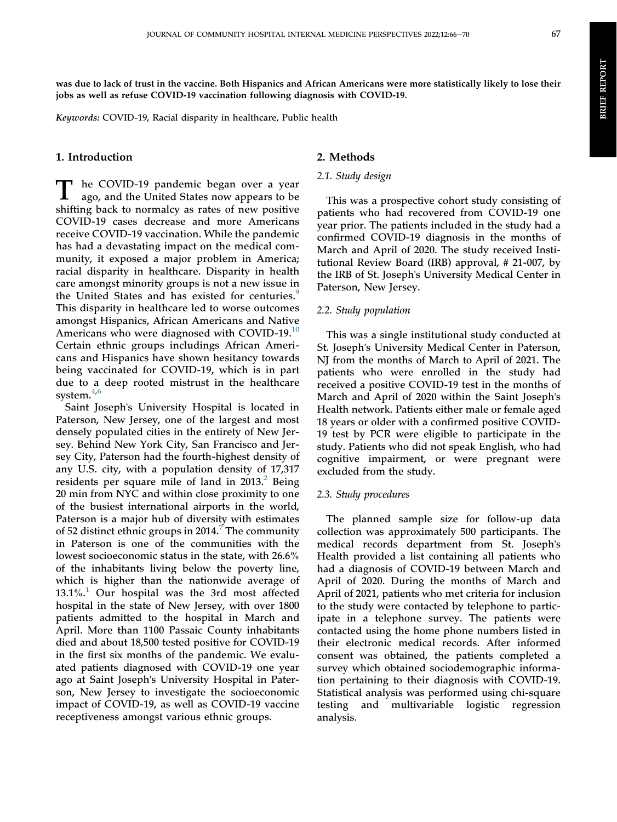was due to lack of trust in the vaccine. Both Hispanics and African Americans were more statistically likely to lose their jobs as well as refuse COVID-19 vaccination following diagnosis with COVID-19.

Keywords: COVID-19, Racial disparity in healthcare, Public health

## 1. Introduction

 $\blacksquare$  he COVID-19 pandemic began over a year ago, and the United States now appears to be shifting back to normalcy as rates of new positive COVID-19 cases decrease and more Americans receive COVID-19 vaccination. While the pandemic has had a devastating impact on the medical community, it exposed a major problem in America; racial disparity in healthcare. Disparity in health care amongst minority groups is not a new issue in the United States and has existed for centuries.<sup>[9](#page-6-0)</sup> This disparity in healthcare led to worse outcomes amongst Hispanics, African Americans and Native Americans who were diagnosed with COVID-19.<sup>[10](#page-6-1)</sup> Certain ethnic groups includings African Americans and Hispanics have shown hesitancy towards being vaccinated for COVID-19, which is in part due to a deep rooted mistrust in the healthcare system. $4,6$  $4,6$  $4,6$ 

Saint Joseph's University Hospital is located in Paterson, New Jersey, one of the largest and most densely populated cities in the entirety of New Jersey. Behind New York City, San Francisco and Jersey City, Paterson had the fourth-highest density of any U.S. city, with a population density of 17,317 residents per square mile of land in  $2013<sup>2</sup>$  $2013<sup>2</sup>$  Being 20 min from NYC and within close proximity to one of the busiest international airports in the world, Paterson is a major hub of diversity with estimates of 52 distinct ethnic groups in  $2014<sup>7</sup>$  $2014<sup>7</sup>$  $2014<sup>7</sup>$  The community in Paterson is one of the communities with the lowest socioeconomic status in the state, with 26.6% of the inhabitants living below the poverty line, which is higher than the nationwide average of  $13.1\%$  $13.1\%$ <sup>1</sup> Our hospital was the 3rd most affected hospital in the state of New Jersey, with over 1800 patients admitted to the hospital in March and April. More than 1100 Passaic County inhabitants died and about 18,500 tested positive for COVID-19 in the first six months of the pandemic. We evaluated patients diagnosed with COVID-19 one year ago at Saint Joseph's University Hospital in Paterson, New Jersey to investigate the socioeconomic impact of COVID-19, as well as COVID-19 vaccine receptiveness amongst various ethnic groups.

### 2. Methods

#### 2.1. Study design

This was a prospective cohort study consisting of patients who had recovered from COVID-19 one year prior. The patients included in the study had a confirmed COVID-19 diagnosis in the months of March and April of 2020. The study received Institutional Review Board (IRB) approval, # 21-007, by the IRB of St. Joseph's University Medical Center in Paterson, New Jersey.

#### 2.2. Study population

This was a single institutional study conducted at St. Joseph's University Medical Center in Paterson, NJ from the months of March to April of 2021. The patients who were enrolled in the study had received a positive COVID-19 test in the months of March and April of 2020 within the Saint Joseph's Health network. Patients either male or female aged 18 years or older with a confirmed positive COVID-19 test by PCR were eligible to participate in the study. Patients who did not speak English, who had cognitive impairment, or were pregnant were excluded from the study.

#### 2.3. Study procedures

The planned sample size for follow-up data collection was approximately 500 participants. The medical records department from St. Joseph's Health provided a list containing all patients who had a diagnosis of COVID-19 between March and April of 2020. During the months of March and April of 2021, patients who met criteria for inclusion to the study were contacted by telephone to participate in a telephone survey. The patients were contacted using the home phone numbers listed in their electronic medical records. After informed consent was obtained, the patients completed a survey which obtained sociodemographic information pertaining to their diagnosis with COVID-19. Statistical analysis was performed using chi-square testing and multivariable logistic regression analysis.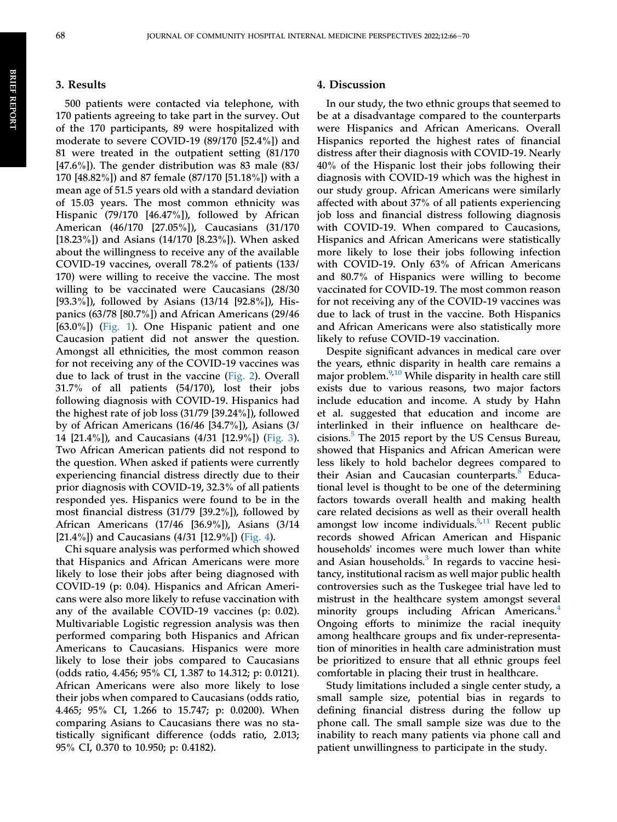#### 3. Results

500 patients were contacted via telephone, with 170 patients agreeing to take part in the survey. Out of the 170 participants, 89 were hospitalized with moderate to severe COVID-19 (89/170 [52.4%]) and 81 were treated in the outpatient setting (81/170 [47.6%]). The gender distribution was 83 male (83/ 170 [48.82%]) and 87 female (87/170 [51.18%]) with a mean age of 51.5 years old with a standard deviation of 15.03 years. The most common ethnicity was Hispanic (79/170 [46.47%]), followed by African American (46/170 [27.05%]), Caucasians (31/170 [18.23%]) and Asians (14/170 [8.23%]). When asked about the willingness to receive any of the available COVID-19 vaccines, overall 78.2% of patients (133/ 170) were willing to receive the vaccine. The most willing to be vaccinated were Caucasians (28/30 [93.3%]), followed by Asians (13/14 [92.8%]), Hispanics (63/78 [80.7%]) and African Americans (29/46 [63.0%]) [\(Fig. 1](#page-6-7)). One Hispanic patient and one Caucasion patient did not answer the question. Amongst all ethnicities, the most common reason for not receiving any of the COVID-19 vaccines was due to lack of trust in the vaccine [\(Fig. 2\)](#page-6-7). Overall 31.7% of all patients (54/170), lost their jobs following diagnosis with COVID-19. Hispanics had the highest rate of job loss (31/79 [39.24%]), followed by of African Americans (16/46 [34.7%]), Asians (3/ 14 [21.4%]), and Caucasians (4/31 [12.9%]) ([Fig. 3](#page-6-7)). Two African American patients did not respond to the question. When asked if patients were currently experiencing financial distress directly due to their prior diagnosis with COVID-19, 32.3% of all patients responded yes. Hispanics were found to be in the most financial distress (31/79 [39.2%]), followed by African Americans (17/46 [36.9%]), Asians (3/14 [21.4%]) and Caucasians  $(4/31$  [12.9%]) ([Fig. 4\)](#page-6-7).

Chi square analysis was performed which showed that Hispanics and African Americans were more likely to lose their jobs after being diagnosed with COVID-19 (p: 0.04). Hispanics and African Americans were also more likely to refuse vaccination with any of the available COVID-19 vaccines (p: 0.02). Multivariable Logistic regression analysis was then performed comparing both Hispanics and African Americans to Caucasians. Hispanics were more likely to lose their jobs compared to Caucasians (odds ratio, 4.456; 95% CI, 1.387 to 14.312; p: 0.0121). African Americans were also more likely to lose their jobs when compared to Caucasians (odds ratio, 4.465; 95% CI, 1.266 to 15.747; p: 0.0200). When comparing Asians to Caucasians there was no statistically significant difference (odds ratio, 2.013; 95% CI, 0.370 to 10.950; p: 0.4182).

#### 4. Discussion

In our study, the two ethnic groups that seemed to be at a disadvantage compared to the counterparts were Hispanics and African Americans. Overall Hispanics reported the highest rates of financial distress after their diagnosis with COVID-19. Nearly 40% of the Hispanic lost their jobs following their diagnosis with COVID-19 which was the highest in our study group. African Americans were similarly affected with about 37% of all patients experiencing job loss and financial distress following diagnosis with COVID-19. When compared to Caucasions, Hispanics and African Americans were statistically more likely to lose their jobs following infection with COVID-19. Only 63% of African Americans and 80.7% of Hispanics were willing to become vaccinated for COVID-19. The most common reason for not receiving any of the COVID-19 vaccines was due to lack of trust in the vaccine. Both Hispanics and African Americans were also statistically more likely to refuse COVID-19 vaccination.

Despite significant advances in medical care over the years, ethnic disparity in health care remains a major problem. $9,10$  $9,10$  While disparity in health care still exists due to various reasons, two major factors include education and income. A study by Hahn et al. suggested that education and income are interlinked in their influence on healthcare decisions.[5](#page-6-8) The 2015 report by the US Census Bureau, showed that Hispanics and African American were less likely to hold bachelor degrees compared to their Asian and Caucasian counterparts.<sup>[8](#page-6-9)</sup> Educational level is thought to be one of the determining factors towards overall health and making health care related decisions as well as their overall health amongst low income individuals. $5,11$  $5,11$  Recent public records showed African American and Hispanic households' incomes were much lower than white and Asian households. $3$  In regards to vaccine hesitancy, institutional racism as well major public health controversies such as the Tuskegee trial have led to mistrust in the healthcare system amongst several minority groups including African Americans.<sup>[4](#page-6-2)</sup> Ongoing efforts to minimize the racial inequity among healthcare groups and fix under-representation of minorities in health care administration must be prioritized to ensure that all ethnic groups feel comfortable in placing their trust in healthcare.

Study limitations included a single center study, a small sample size, potential bias in regards to defining financial distress during the follow up phone call. The small sample size was due to the inability to reach many patients via phone call and patient unwillingness to participate in the study.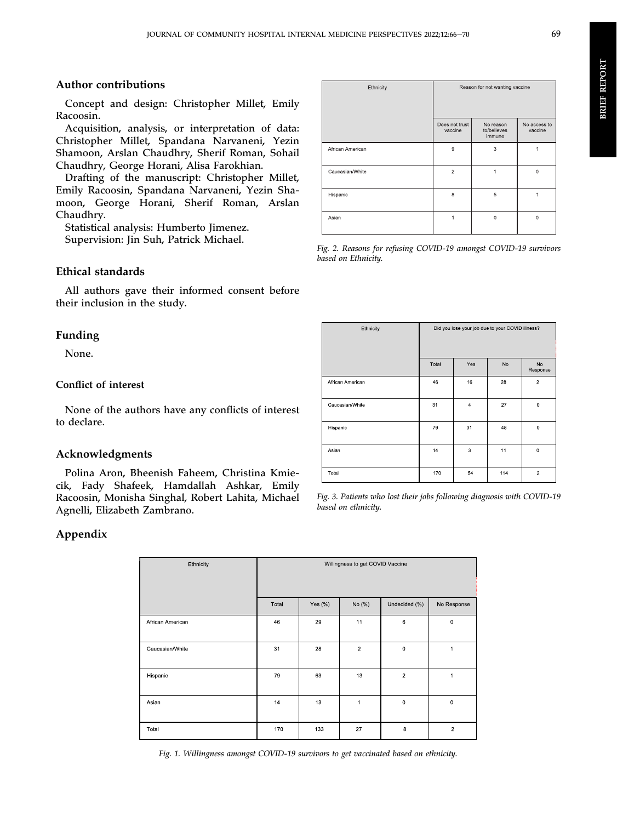#### Author contributions

Concept and design: Christopher Millet, Emily Racoosin.

Acquisition, analysis, or interpretation of data: Christopher Millet, Spandana Narvaneni, Yezin Shamoon, Arslan Chaudhry, Sherif Roman, Sohail Chaudhry, George Horani, Alisa Farokhian.

Drafting of the manuscript: Christopher Millet, Emily Racoosin, Spandana Narvaneni, Yezin Shamoon, George Horani, Sherif Roman, Arslan Chaudhry.

Statistical analysis: Humberto Jimenez. Supervision: Jin Suh, Patrick Michael.

#### Ethical standards

All authors gave their informed consent before their inclusion in the study.

#### Funding

None.

#### Conflict of interest

None of the authors have any conflicts of interest to declare.

#### Acknowledgments

Polina Aron, Bheenish Faheem, Christina Kmiecik, Fady Shafeek, Hamdallah Ashkar, Emily Racoosin, Monisha Singhal, Robert Lahita, Michael Agnelli, Elizabeth Zambrano.

#### Appendix

| Ethnicity        | Willingness to get COVID Vaccine |             |                |                |                |
|------------------|----------------------------------|-------------|----------------|----------------|----------------|
|                  | Total                            | Yes $(\% )$ | No (%)         | Undecided (%)  | No Response    |
| African American | 46                               | 29          | 11             | 6              | $\bf 0$        |
| Caucasian/White  | 31                               | 28          | $\overline{2}$ | 0              | 1              |
| Hispanic         | 79                               | 63          | 13             | $\overline{c}$ | 1              |
| Asian            | 14                               | 13          | 1              | 0              | $\overline{0}$ |
| Total            | 170                              | 133         | 27             | $\bf 8$        | $\overline{2}$ |

Fig. 1. Willingness amongst COVID-19 survivors to get vaccinated based on ethnicity.

| Ethnicity        | Reason for not wanting vaccine |                                    |                         |  |
|------------------|--------------------------------|------------------------------------|-------------------------|--|
|                  | Does not trust<br>vaccine      | No reason<br>to/believes<br>immune | No access to<br>vaccine |  |
| African American | 9                              | 3                                  | 1                       |  |
| Caucasian/White  | $\overline{c}$                 |                                    | $\overline{0}$          |  |
| Hispanic         | 8                              | 5                                  |                         |  |
| Asian            |                                | $\Omega$                           | $\mathbf 0$             |  |

Fig. 2. Reasons for refusing COVID-19 amongst COVID-19 survivors based on Ethnicity.

| Ethnicity        | Did you lose your job due to your COVID illness? |                |     |                |
|------------------|--------------------------------------------------|----------------|-----|----------------|
|                  | Total                                            | Yes            | No  | No<br>Response |
| African American | 46                                               | 16             | 28  | $\overline{a}$ |
| Caucasian/White  | 31                                               | $\overline{4}$ | 27  | $\mathbf 0$    |
| Hispanic         | 79                                               | 31             | 48  | $\mathbf 0$    |
| Asian            | 14                                               | 3              | 11  | $\mathbf 0$    |
| Total            | 170                                              | 54             | 114 | $\overline{2}$ |

Fig. 3. Patients who lost their jobs following diagnosis with COVID-19 based on ethnicity.